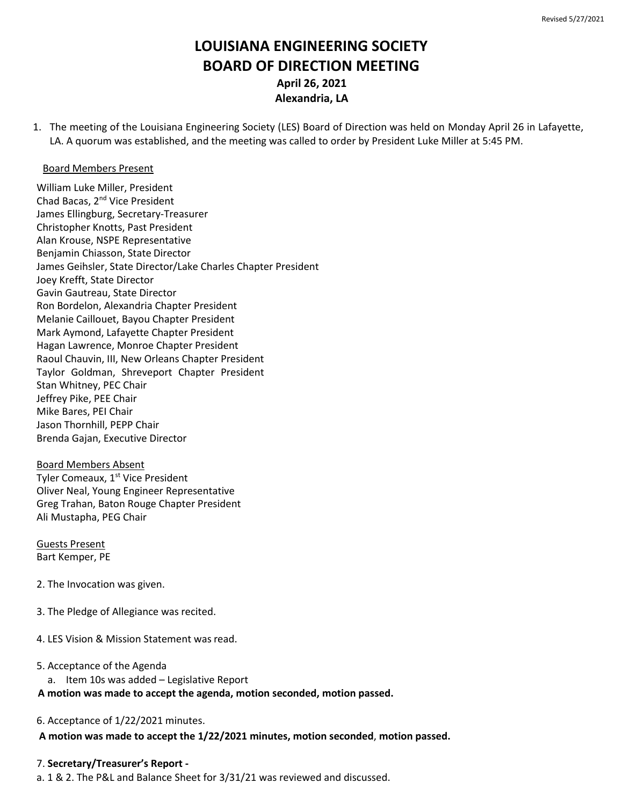# **LOUISIANA ENGINEERING SOCIETY BOARD OF DIRECTION MEETING April 26, 2021 Alexandria, LA**

1. The meeting of the Louisiana Engineering Society (LES) Board of Direction was held on Monday April 26 in Lafayette, LA. A quorum was established, and the meeting was called to order by President Luke Miller at 5:45 PM.

## Board Members Present

William Luke Miller, President Chad Bacas, 2nd Vice President James Ellingburg, Secretary-Treasurer Christopher Knotts, Past President Alan Krouse, NSPE Representative Benjamin Chiasson, State Director James Geihsler, State Director/Lake Charles Chapter President Joey Krefft, State Director Gavin Gautreau, State Director Ron Bordelon, Alexandria Chapter President Melanie Caillouet, Bayou Chapter President Mark Aymond, Lafayette Chapter President Hagan Lawrence, Monroe Chapter President Raoul Chauvin, III, New Orleans Chapter President Taylor Goldman, Shreveport Chapter President Stan Whitney, PEC Chair Jeffrey Pike, PEE Chair Mike Bares, PEI Chair Jason Thornhill, PEPP Chair Brenda Gajan, Executive Director

Board Members Absent Tyler Comeaux, 1<sup>st</sup> Vice President Oliver Neal, Young Engineer Representative Greg Trahan, Baton Rouge Chapter President Ali Mustapha, PEG Chair

Guests Present Bart Kemper, PE

- 2. The Invocation was given.
- 3. The Pledge of Allegiance was recited.
- 4. LES Vision & Mission Statement was read.

## 5. Acceptance of the Agenda

a. Item 10s was added – Legislative Report

## **A motion was made to accept the agenda, motion seconded, motion passed.**

6. Acceptance of 1/22/2021 minutes.

## **A motion was made to accept the 1/22/2021 minutes, motion seconded**, **motion passed.**

## 7. **Secretary/Treasurer's Report -**

a. 1 & 2. The P&L and Balance Sheet for 3/31/21 was reviewed and discussed.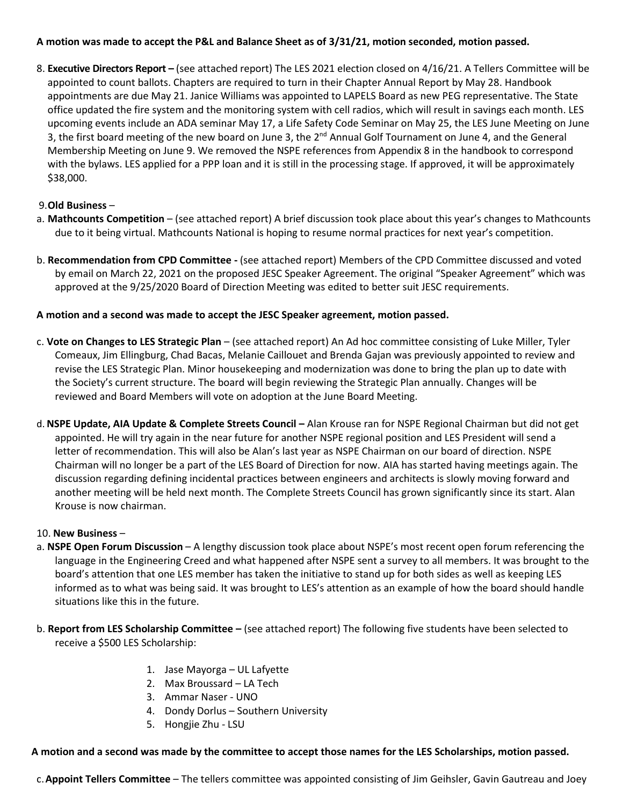# **A motion was made to accept the P&L and Balance Sheet as of 3/31/21, motion seconded, motion passed.**

8. **Executive Directors Report –** (see attached report) The LES 2021 election closed on 4/16/21. A Tellers Committee will be appointed to count ballots. Chapters are required to turn in their Chapter Annual Report by May 28. Handbook appointments are due May 21. Janice Williams was appointed to LAPELS Board as new PEG representative. The State office updated the fire system and the monitoring system with cell radios, which will result in savings each month. LES upcoming events include an ADA seminar May 17, a Life Safety Code Seminar on May 25, the LES June Meeting on June 3, the first board meeting of the new board on June 3, the 2<sup>nd</sup> Annual Golf Tournament on June 4, and the General Membership Meeting on June 9. We removed the NSPE references from Appendix 8 in the handbook to correspond with the bylaws. LES applied for a PPP loan and it is still in the processing stage. If approved, it will be approximately \$38,000.

# 9.**Old Business** –

- a. **Mathcounts Competition** (see attached report) A brief discussion took place about this year's changes to Mathcounts due to it being virtual. Mathcounts National is hoping to resume normal practices for next year's competition.
- b. **Recommendation from CPD Committee -** (see attached report) Members of the CPD Committee discussed and voted by email on March 22, 2021 on the proposed JESC Speaker Agreement. The original "Speaker Agreement" which was approved at the 9/25/2020 Board of Direction Meeting was edited to better suit JESC requirements.

# **A motion and a second was made to accept the JESC Speaker agreement, motion passed.**

- c. **Vote on Changes to LES Strategic Plan** (see attached report) An Ad hoc committee consisting of Luke Miller, Tyler Comeaux, Jim Ellingburg, Chad Bacas, Melanie Caillouet and Brenda Gajan was previously appointed to review and revise the LES Strategic Plan. Minor housekeeping and modernization was done to bring the plan up to date with the Society's current structure. The board will begin reviewing the Strategic Plan annually. Changes will be reviewed and Board Members will vote on adoption at the June Board Meeting.
- d.**NSPE Update, AIA Update & Complete Streets Council –** Alan Krouse ran for NSPE Regional Chairman but did not get appointed. He will try again in the near future for another NSPE regional position and LES President will send a letter of recommendation. This will also be Alan's last year as NSPE Chairman on our board of direction. NSPE Chairman will no longer be a part of the LES Board of Direction for now. AIA has started having meetings again. The discussion regarding defining incidental practices between engineers and architects is slowly moving forward and another meeting will be held next month. The Complete Streets Council has grown significantly since its start. Alan Krouse is now chairman.

# 10. **New Business** –

- a. **NSPE Open Forum Discussion** A lengthy discussion took place about NSPE's most recent open forum referencing the language in the Engineering Creed and what happened after NSPE sent a survey to all members. It was brought to the board's attention that one LES member has taken the initiative to stand up for both sides as well as keeping LES informed as to what was being said. It was brought to LES's attention as an example of how the board should handle situations like this in the future.
- b. **Report from LES Scholarship Committee –** (see attached report) The following five students have been selected to receive a \$500 LES Scholarship:
	- 1. Jase Mayorga UL Lafyette
	- 2. Max Broussard LA Tech
	- 3. Ammar Naser UNO
	- 4. Dondy Dorlus Southern University
	- 5. Hongjie Zhu LSU

# **A motion and a second was made by the committee to accept those names for the LES Scholarships, motion passed.**

c.**Appoint Tellers Committee** – The tellers committee was appointed consisting of Jim Geihsler, Gavin Gautreau and Joey